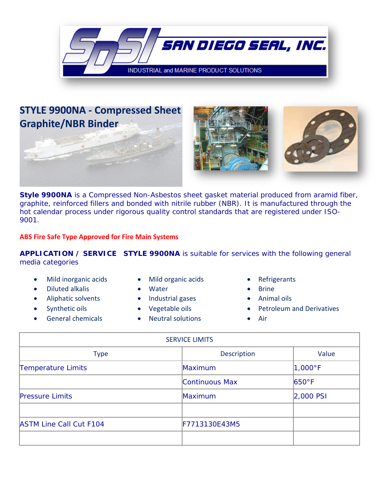

## **STYLE 9900NA - Compressed Sheet Graphite/NBR Binder**





**Style 9900NA** is a Compressed Non-Asbestos sheet gasket material produced from aramid fiber, graphite, reinforced fillers and bonded with nitrile rubber (NBR). It is manufactured through the hot calendar process under rigorous quality control standards that are registered under ISO-9001.

## **ABS Fire Safe Type Approved for Fire Main Systems**

**APPLICATION / SERVICE STYLE 9900NA** is suitable for services with the following general media categories

- Mild inorganic acids Mild organic acids Refrigerants
- Diluted alkalis Water Brine
- 
- 
- 
- 
- 
- Aliphatic solvents Industrial gases Animal oils
	-
- General chemicals Neutral solutions Air
- 
- 
- 
- Synthetic oils Vegetable oils Petroleum and Derivatives
	-

| <b>SERVICE LIMITS</b>          |                |                 |
|--------------------------------|----------------|-----------------|
| <b>Type</b>                    | Description    | Value           |
| Temperature Limits             | Maximum        | $1,000$ °F      |
|                                | Continuous Max | $650^{\circ}$ F |
| <b>Pressure Limits</b>         | Maximum        | $2,000$ PSI     |
|                                |                |                 |
| <b>ASTM Line Call Cut F104</b> | F7713130E43M5  |                 |
|                                |                |                 |